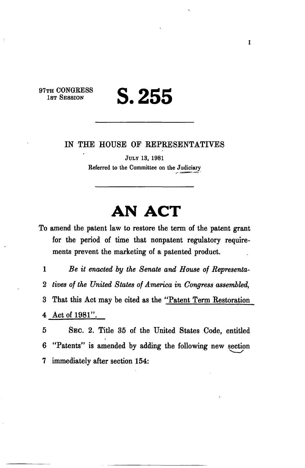97TH CONGRESS 1ST SESSION

## **S.255**

## IN THE HOUSE OF REPRESENTATIVES

JULY 13, 1981 Keferred to the Committee on the Judiciary

## **AN ACT**

To amend the patent law to restore the term of the patent grant for the period of time that nonpatent regulatory requirements prevent the marketing of a patented product.

1 *Be it enacted by the Senate and House of Representa-*2 *tives of the United States of America in Congress assembled,*  3 That this Act may be cited as the "Patent Term Restoration 4 Act of 1981".

5 SEC. 2. Title 35 of the United States Code, entitled 6 "Patents" is amended by adding the following new section 7 immediately after section 154: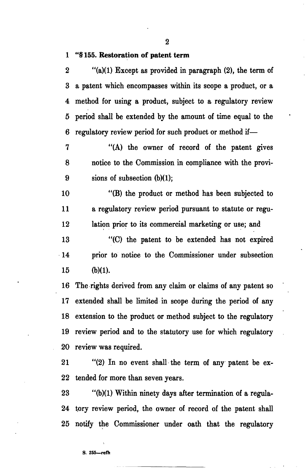**2** 

## **1 "§ 155. Restoration of patent term**

2  $"({\rm a})(1)$  Except as provided in paragraph (2), the term of 3 a patent which encompasses within its scope a product, or a 4 method for using a product, subject to a regulatory review 5 period shall be extended by the amount of time equal to the 6 regulatory review period for such product or method if—

7 "(A) the owner of record of the patent gives 8 notice to the Commission in compliance with the provi-9 sions of subsection (b)(1);

10 "(B) the product or method has been subjected to 11 a regulatory review period pursuant to statute or regu-12 lation prior to its commercial marketing or use; and

13 "(C) the patent to be extended has not expired 14 prior to notice to the Commissioner under subsection 15 (b)(1).

16 The rights derived from any claim or claims of any patent so 17 extended shall be limited in scope during the period of any 18 extension to the product or method subject to the regulatory 19 review period and to the statutory use for which regulatory 20 review was required.

21 "(2) In no event shall the term of any patent be ex-22 tended for more than seven years.

23 "(b)(1) Within ninety days after termination of a regula-24 tory review period, the owner of record of the patent shall 25 notify the Commissioner under oath that the regulatory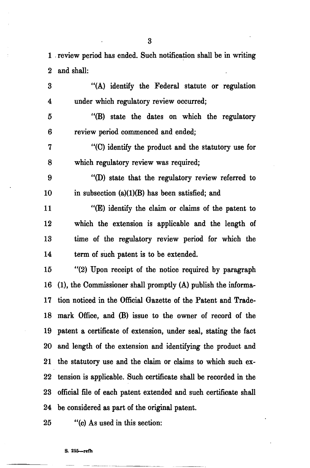1 . review period has ended. Such notification shall be in writing 2 and shall:

3 "(A) identify the Federal statute or regulation 4 under which regulatory review occurred;

5 "(B) state the dates on which the regulatory 6 review period commenced and ended;

7 "(C) identify the product and the statutory use for 8 which regulatory review was required;

9 "(D) state that the regulatory review referred to 10 in subsection  $(a)(1)(B)$  has been satisfied; and

11 "(E) identify the claim or claims of the patent to 12 which the extension is applicable and the length of 13 time of the regulatory review period for which the 14 term of such patent is to be extended.

15 "(2) Upon receipt of the notice required by paragraph 16 (1), the Commissioner shall promptly (A) publish the informa-17 tion noticed in the Official Gazette of the Patent and Trade-18 mark Office, and (B) issue to the owner of record of the 19 patent a certificate of extension, under seal, stating the fact 20 and length of the extension and identifying the product and 21 the statutory use and the claim or claims to which such ex-22 tension is applicable. Such certificate shall be recorded in the 23 official file of each patent extended and such certificate shall 24 be considered as part of the original patent.

25 "(c) As used in this section: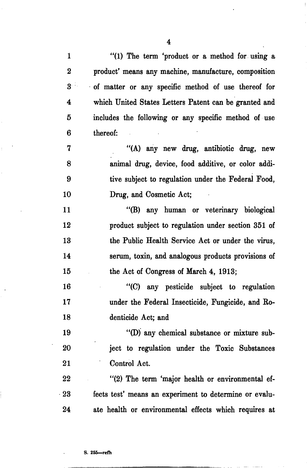$\ddot{\phantom{0}}$ 

 $\bar{\bar{1}}$ 

 $\bar{1}$ 

| 1                       | "(1) The term 'product or a method for using a         |
|-------------------------|--------------------------------------------------------|
| $\bf{2}$                | product' means any machine, manufacture, composition   |
| $3 -$                   | of matter or any specific method of use thereof for    |
| $\overline{\mathbf{4}}$ | which United States Letters Patent can be granted and  |
| 5                       | includes the following or any specific method of use   |
| 6                       | thereof:                                               |
| $\mathbf 7$             | "(A) any new drug, antibiotic drug, new                |
| 8                       | animal drug, device, food additive, or color addi-     |
| 9                       | tive subject to regulation under the Federal Food,     |
| 10                      | Drug, and Cosmetic Act;                                |
| 11                      | "(B) any human or veterinary biological                |
| 12                      | product subject to regulation under section 351 of     |
| 13                      | the Public Health Service Act or under the virus,      |
| 14                      | serum, toxin, and analogous products provisions of     |
| 15                      | the Act of Congress of March 4, 1913;                  |
| 16                      | "(C) any pesticide subject to regulation               |
| 17                      | under the Federal Insecticide, Fungicide, and Ro-      |
| 18                      | denticide Act; and                                     |
| 19                      | "(D) any chemical substance or mixture sub-            |
| 20                      | ject to regulation under the Toxic Substances          |
| 21                      | Control Act.                                           |
| 22                      | "(2) The term 'major health or environmental ef-       |
| 23                      | fects test' means an experiment to determine or evalu- |
| 24                      | ate health or environmental effects which requires at  |

 $\ddot{\phantom{a}}$ 

Ţ

 $\frac{1}{2}$ 

j.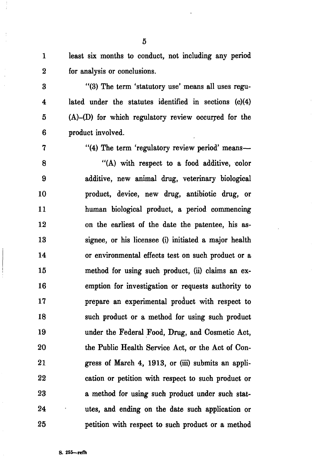1 least six months to conduct, not including any period 2 for analysis or conclusions.

3 "(3) The term 'statutory use' means all uses regu-4 lated under the statutes identified in sections (c)(4) 5 (A)-(D) for which regulatory review occurred for the 6 product involved.

7 "(4) The term 'regulatory review period' means— 8 "(A) with respect to a food additive, color 9 additive, new animal drug, veterinary biological 10 product, device, new drug, antibiotic drug, or 11 human biological product, a period commencing 12 on the earliest of the date the patentee, his as-13 signee, or his licensee (i) initiated a major health 14 or environmental effects test on such product or a 15 method for using such product, (ii) claims an ex-16 emption for investigation or requests authority to 17 prepare an experimental product with respect to 18 such product or a method for using such product 19 under the Federal Food, Drug, and Cosmetic Act, 20 the Public Health Service Act, or the Act of Con-21 gress of March 4, 1913, or (iii) submits an appli-22 cation or petition with respect to such product or 23 a method for using such product under such stat-24 utes, and ending on the date such application or 25 petition with respect to such product or a method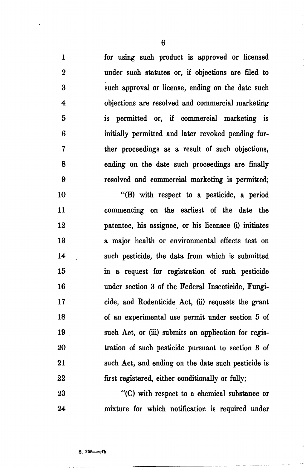1 for using such product is approved or licensed 2 under such statutes or, if objections are filed to 3 such approval or license, ending on the date such 4 objections are resolved and commercial marketing 5 is permitted or, if commercial marketing is 6 initially permitted and later revoked pending fur-7 ther proceedings as a result of such objections, 8 ending on the date such proceedings are finally 9 resolved and commercial marketing is permitted;

10 "(B) with respect to a pesticide, a period 11 commencing on the earliest of the date the 12 patentee, his assignee, or his licensee (i) initiates 13 a major health or environmental effects test on 14 such pesticide, the data from which is submitted 15 in a request for registration of such pesticide 16 under section 3 of the Federal Insecticide, Fungi-17 cide, and Rodenticide Act, (ii) requests the grant 18 of an experimental use permit under section 5 of 19 such Act, or (iii) submits an application for regis-20 tration of such pesticide pursuant to section 3 of 21 such Act, and ending on the date such pesticide is 22 first registered, either conditionally or fully;

23 "(C) with respect to a chemical substance or 24 mixture for which notification is required under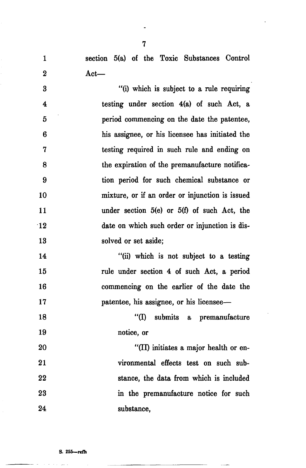1 section 5(a) of the Toxic Substances Control 2 Act—

3 "(i) which is subject to a rule requiring 4 testing under section 4(a) of such Act, a 5 period commencing on the date the patentee, 6 his assignee, or his licensee has initiated the 7 testing required in such rule and ending on 8 the expiration of the premanufacture notifica-9 tion period for such chemical substance or 10 mixture, or if an order or injunction is issued 11 under section 5(e) or 5(f) of such Act, the 12 date on which such order or injunction is dis-13 solved or set aside;

14 "(ii) which is not subject to a testing 15 rule under section 4 of such Act, a period 16 commencing on the earlier of the date the 17 **patentee**, his assignee, or his licensee—

18 "(I) submits a premanufacture 19 notice, or

20 "(II) initiates a major health or en-21 vironmental effects test on such sub-22 stance, the data from which is included 23 in the premanufacture notice for such 24 substance.

7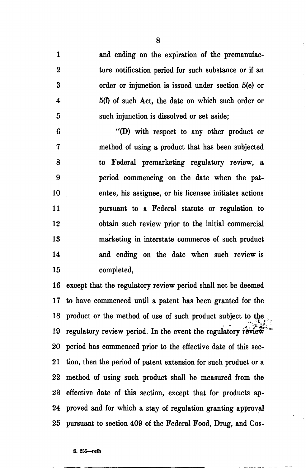1 and ending on the expiration of the premanufac-2 ture notification period for such substance or if an 3 order or injunction is issued under section 5(e) or 4 5(f) of such Act, the date on which such order or 5 such injunction is dissolved or set aside;

6 "(D) with respect to any other product or 7 method of using a product that has been subjected 8 to Federal premarketing regulatory review, a 9 period commencing on the date when the pat-10 entee, his assignee, or his licensee initiates actions 11 pursuant to a Federal statute or regulation to 12 obtain such review prior to the initial commercial 13 marketing in interstate commerce of such product 14 and ending on the date when such review is 15 completed,

16 except that the regulatory review period shall not be deemed 17 to have commenced until a patent has been granted for the 18 product or the method of use of such product subject to the 19 regulatory review period. In the event the regulatory review 20 period has commenced prior to the effective date of this sec-21 tion, then the period of patent extension for such product or a 22 method of using such product shall be measured from the 23 effective date of this section, except that for products ap-24 proved and for which a stay of regulation granting approval 25 pursuant to section 409 of the Federal Food, Drug, and Cos-

8